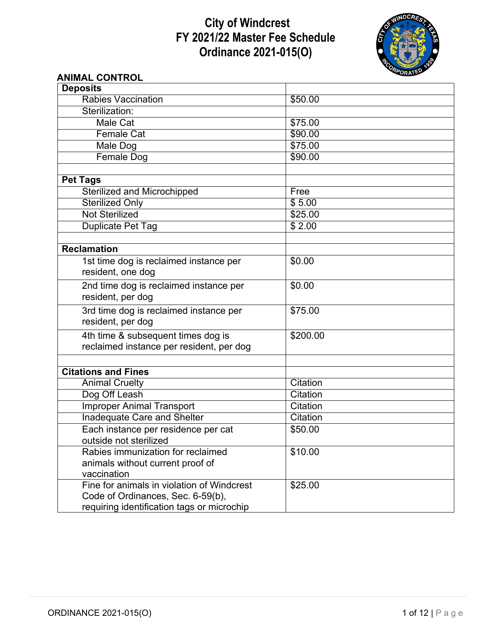# **City of Windcrest FY 2021/22 Master Fee Schedule Ordinance 2021-015(O)**



# **ANIMAL CONTROL**

| <b>Deposits</b>                                 |                             |
|-------------------------------------------------|-----------------------------|
| Rabies Vaccination                              | \$50.00                     |
| Sterilization:                                  |                             |
| Male Cat                                        | \$75.00                     |
| <b>Female Cat</b>                               | \$90.00                     |
| Male Dog                                        | \$75.00                     |
| <b>Female Dog</b>                               | \$90.00                     |
|                                                 |                             |
| <b>Pet Tags</b>                                 |                             |
| Sterilized and Microchipped                     | Free                        |
| <b>Sterilized Only</b>                          | \$5.00                      |
| <b>Not Sterilized</b>                           | \$25.00                     |
| Duplicate Pet Tag                               | \$2.00                      |
|                                                 |                             |
| Reclamation                                     |                             |
| 1st time dog is reclaimed instance per          | \$0.00                      |
| resident, one dog                               |                             |
| 2nd time dog is reclaimed instance per          | \$0.00                      |
| resident, per dog                               |                             |
| 3rd time dog is reclaimed instance per          | \$75.00                     |
| resident, per dog                               |                             |
| 4th time & subsequent times dog is              | \$200.00                    |
| reclaimed instance per resident, per dog        |                             |
|                                                 |                             |
|                                                 |                             |
| <b>Citations and Fines</b>                      | Citation                    |
| <b>Animal Cruelty</b>                           | Citation                    |
| Dog Off Leash                                   |                             |
| <b>Improper Animal Transport</b>                | Citation<br><b>Citation</b> |
| <b>Inadequate Care and Shelter</b>              |                             |
| Each instance per residence per cat             | \$50.00                     |
| outside not sterilized                          |                             |
| Rabies immunization for reclaimed               | \$10.00                     |
| animals without current proof of<br>vaccination |                             |
| Fine for animals in violation of Windcrest      |                             |
| Code of Ordinances, Sec. 6-59(b),               | \$25.00                     |
|                                                 |                             |
| requiring identification tags or microchip      |                             |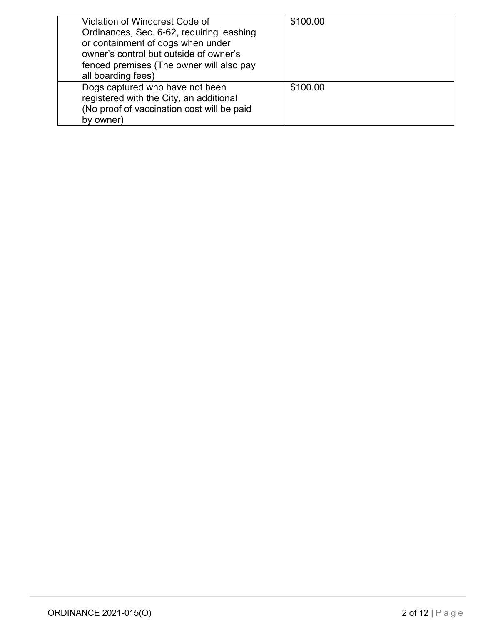| Violation of Windcrest Code of<br>Ordinances, Sec. 6-62, requiring leashing<br>or containment of dogs when under<br>owner's control but outside of owner's<br>fenced premises (The owner will also pay<br>all boarding fees) | \$100.00 |
|------------------------------------------------------------------------------------------------------------------------------------------------------------------------------------------------------------------------------|----------|
| Dogs captured who have not been<br>registered with the City, an additional<br>(No proof of vaccination cost will be paid<br>by owner)                                                                                        | \$100.00 |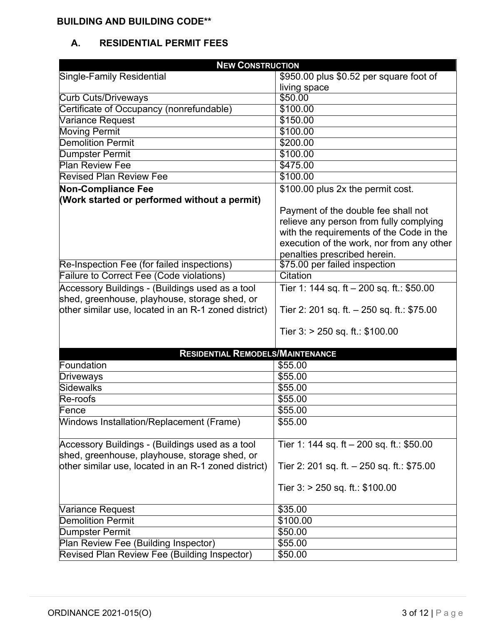## **BUILDING AND BUILDING CODE\*\***

# **A. RESIDENTIAL PERMIT FEES**

| <b>NEW CONSTRUCTION</b>                              |                                              |  |
|------------------------------------------------------|----------------------------------------------|--|
| Single-Family Residential                            | \$950.00 plus \$0.52 per square foot of      |  |
|                                                      | living space                                 |  |
| <b>Curb Cuts/Driveways</b>                           | \$50.00                                      |  |
| Certificate of Occupancy (nonrefundable)             | \$100.00                                     |  |
| Variance Request                                     | \$150.00                                     |  |
| <b>Moving Permit</b>                                 | \$100.00                                     |  |
| <b>Demolition Permit</b>                             | \$200.00                                     |  |
| <b>Dumpster Permit</b>                               | \$100.00                                     |  |
| <b>Plan Review Fee</b>                               | \$475.00                                     |  |
| <b>Revised Plan Review Fee</b>                       | \$100.00                                     |  |
| <b>Non-Compliance Fee</b>                            | \$100.00 plus 2x the permit cost.            |  |
| (Work started or performed without a permit)         |                                              |  |
|                                                      | Payment of the double fee shall not          |  |
|                                                      | relieve any person from fully complying      |  |
|                                                      | with the requirements of the Code in the     |  |
|                                                      | execution of the work, nor from any other    |  |
|                                                      | penalties prescribed herein.                 |  |
| Re-Inspection Fee (for failed inspections)           | \$75.00 per failed inspection                |  |
| Failure to Correct Fee (Code violations)             | Citation                                     |  |
| Accessory Buildings - (Buildings used as a tool      | Tier 1: 144 sq. ft $-$ 200 sq. ft.: \$50.00  |  |
| shed, greenhouse, playhouse, storage shed, or        |                                              |  |
| other similar use, located in an R-1 zoned district) | Tier 2: 201 sq. ft. $-$ 250 sq. ft.: \$75.00 |  |
|                                                      |                                              |  |
|                                                      | Tier $3:$ > 250 sq. ft.: \$100.00            |  |
|                                                      |                                              |  |
| <b>RESIDENTIAL REMODELS/MAINTENANCE</b>              |                                              |  |
| Foundation                                           | \$55.00                                      |  |
| Driveways                                            | \$55.00                                      |  |
| <b>Sidewalks</b>                                     | \$55.00                                      |  |
| Re-roofs                                             | \$55.00                                      |  |
| Fence                                                | \$55.00                                      |  |
| <b>Windows Installation/Replacement (Frame)</b>      | \$55.00                                      |  |
|                                                      |                                              |  |
| Accessory Buildings - (Buildings used as a tool      | Tier 1: 144 sq. ft - 200 sq. ft.: \$50.00    |  |
| shed, greenhouse, playhouse, storage shed, or        |                                              |  |
| other similar use, located in an R-1 zoned district) | Tier 2: 201 sq. ft. $-$ 250 sq. ft.: \$75.00 |  |
|                                                      |                                              |  |
|                                                      | Tier $3:$ > 250 sq. ft.: \$100.00            |  |
|                                                      |                                              |  |
| Variance Request                                     | \$35.00                                      |  |
| <b>Demolition Permit</b>                             | \$100.00                                     |  |
| Dumpster Permit                                      | \$50.00                                      |  |
| Plan Review Fee (Building Inspector)                 | \$55.00                                      |  |
| Revised Plan Review Fee (Building Inspector)         | \$50.00                                      |  |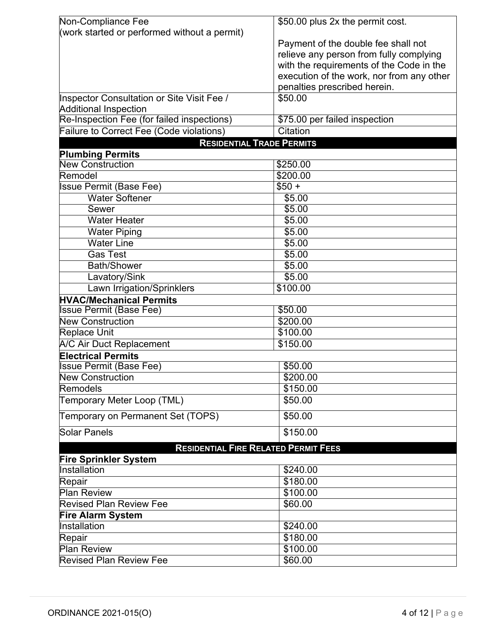| Non-Compliance Fee                              | \$50.00 plus 2x the permit cost.          |
|-------------------------------------------------|-------------------------------------------|
| (work started or performed without a permit)    |                                           |
|                                                 | Payment of the double fee shall not       |
|                                                 | relieve any person from fully complying   |
|                                                 | with the requirements of the Code in the  |
|                                                 | execution of the work, nor from any other |
|                                                 | penalties prescribed herein.              |
| Inspector Consultation or Site Visit Fee /      | \$50.00                                   |
| <b>Additional Inspection</b>                    |                                           |
| Re-Inspection Fee (for failed inspections)      | \$75.00 per failed inspection             |
| <b>Failure to Correct Fee (Code violations)</b> | Citation                                  |
| <b>RESIDENTIAL TRADE PERMITS</b>                |                                           |
| <b>Plumbing Permits</b>                         |                                           |
| <b>New Construction</b>                         | \$250.00                                  |
| Remodel                                         | \$200.00                                  |
| <b>Issue Permit (Base Fee)</b>                  | $$50 +$                                   |
| <b>Water Softener</b>                           | \$5.00                                    |
| Sewer                                           | \$5.00                                    |
| <b>Water Heater</b>                             | \$5.00                                    |
| <b>Water Piping</b>                             | \$5.00                                    |
| <b>Water Line</b>                               | \$5.00                                    |
| Gas Test                                        | \$5.00                                    |
| <b>Bath/Shower</b>                              | \$5.00                                    |
| Lavatory/Sink                                   | \$5.00                                    |
| Lawn Irrigation/Sprinklers                      | \$100.00                                  |
| <b>HVAC/Mechanical Permits</b>                  |                                           |
| <b>Issue Permit (Base Fee)</b>                  | \$50.00                                   |
| <b>New Construction</b>                         | \$200.00                                  |
| <b>Replace Unit</b>                             | \$100.00                                  |
| A/C Air Duct Replacement                        | \$150.00                                  |
| <b>Electrical Permits</b>                       |                                           |
| <b>Issue Permit (Base Fee)</b>                  | \$50.00                                   |
| <b>New Construction</b>                         | \$200.00                                  |
| Remodels                                        | \$150.00                                  |
| Temporary Meter Loop (TML)                      | \$50.00                                   |
| Temporary on Permanent Set (TOPS)               | \$50.00                                   |
| Solar Panels                                    | \$150.00                                  |
| <b>RESIDENTIAL FIRE RELATED PERMIT FEES</b>     |                                           |
| <b>Fire Sprinkler System</b>                    |                                           |
| Installation                                    | \$240.00                                  |
| Repair                                          | \$180.00                                  |
| <b>Plan Review</b>                              | \$100.00                                  |
| <b>Revised Plan Review Fee</b>                  | \$60.00                                   |
| <b>Fire Alarm System</b>                        |                                           |
| Installation                                    | \$240.00                                  |
| Repair                                          | \$180.00                                  |
| <b>Plan Review</b>                              | \$100.00                                  |
| <b>Revised Plan Review Fee</b>                  | \$60.00                                   |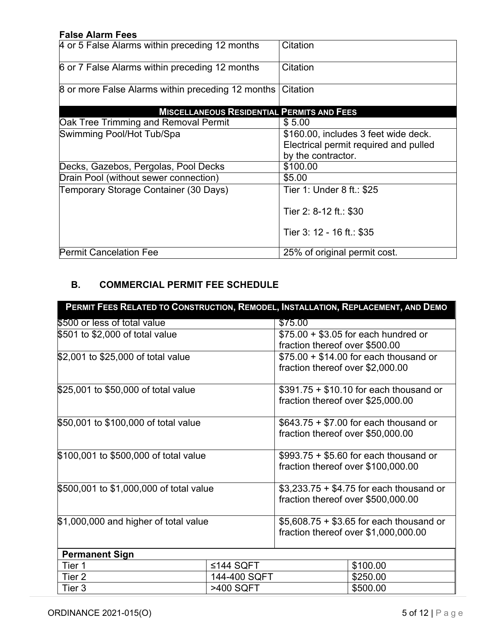### **False Alarm Fees**

| 4 or 5 False Alarms within preceding 12 months    | Citation                                                                                            |
|---------------------------------------------------|-----------------------------------------------------------------------------------------------------|
| 6 or 7 False Alarms within preceding 12 months    | Citation                                                                                            |
| 8 or more False Alarms within preceding 12 months | Citation                                                                                            |
| <b>MISCELLANEOUS RESIDENTIAL PERMITS AND FEES</b> |                                                                                                     |
| <b>Oak Tree Trimming and Removal Permit</b>       | \$5.00                                                                                              |
| Swimming Pool/Hot Tub/Spa                         | \$160.00, includes 3 feet wide deck.<br>Electrical permit required and pulled<br>by the contractor. |
| Decks, Gazebos, Pergolas, Pool Decks              | \$100.00                                                                                            |
| Drain Pool (without sewer connection)             | \$5.00                                                                                              |
| Temporary Storage Container (30 Days)             | Tier 1: Under 8 ft.: \$25                                                                           |
|                                                   | Tier 2: 8-12 ft.: \$30                                                                              |
|                                                   | Tier 3: 12 - 16 ft.: \$35                                                                           |
| <b>Permit Cancelation Fee</b>                     | 25% of original permit cost.                                                                        |

# **B. COMMERCIAL PERMIT FEE SCHEDULE**

| PERMIT FEES RELATED TO CONSTRUCTION, REMODEL, INSTALLATION, REPLACEMENT, AND DEMO |              |                                         |                                          |
|-----------------------------------------------------------------------------------|--------------|-----------------------------------------|------------------------------------------|
| \$500 or less of total value                                                      |              | \$75.00                                 |                                          |
| \$501 to \$2,000 of total value                                                   |              |                                         | $$75.00 + $3.05$ for each hundred or     |
|                                                                                   |              | fraction thereof over \$500.00          |                                          |
| \$2,001 to \$25,000 of total value                                                |              |                                         | $$75.00 + $14.00$ for each thousand or   |
|                                                                                   |              | fraction thereof over \$2,000.00        |                                          |
| \$25,001 to \$50,000 of total value                                               |              | $$391.75 + $10.10$ for each thousand or |                                          |
|                                                                                   |              | fraction thereof over \$25,000.00       |                                          |
| \$50,001 to \$100,000 of total value                                              |              |                                         | $$643.75 + $7.00$ for each thousand or   |
|                                                                                   |              | fraction thereof over \$50,000.00       |                                          |
| \$100,001 to \$500,000 of total value                                             |              |                                         | $$993.75 + $5.60$ for each thousand or   |
|                                                                                   |              |                                         | fraction thereof over \$100,000.00       |
| \$500,001 to \$1,000,000 of total value                                           |              |                                         | $$3,233.75 + $4.75$ for each thousand or |
|                                                                                   |              | fraction thereof over \$500,000.00      |                                          |
| \$1,000,000 and higher of total value                                             |              |                                         | $$5,608.75 + $3.65$ for each thousand or |
|                                                                                   |              | fraction thereof over \$1,000,000.00    |                                          |
| <b>Permanent Sign</b>                                                             |              |                                         |                                          |
| Tier 1                                                                            | ≤144 SQFT    |                                         | \$100.00                                 |
| Tier 2                                                                            | 144-400 SQFT |                                         | \$250.00                                 |
| Tier 3                                                                            | >400 SQFT    |                                         | \$500.00                                 |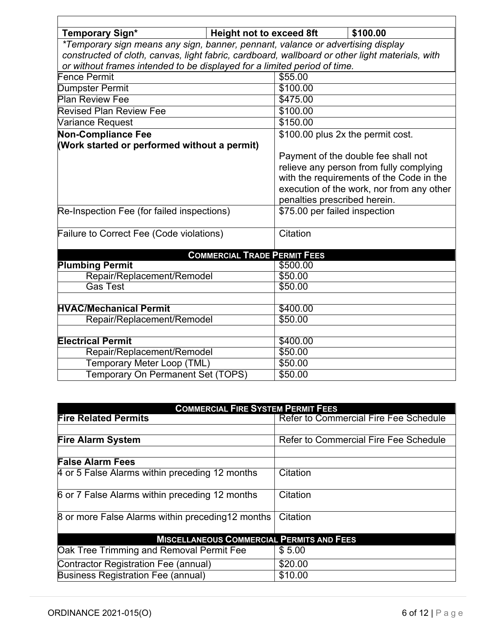| <b>Temporary Sign*</b>                                                                          | <b>Height not to exceed 8ft</b>     |                                   | \$100.00                                  |
|-------------------------------------------------------------------------------------------------|-------------------------------------|-----------------------------------|-------------------------------------------|
| *Temporary sign means any sign, banner, pennant, valance or advertising display                 |                                     |                                   |                                           |
| constructed of cloth, canvas, light fabric, cardboard, wallboard or other light materials, with |                                     |                                   |                                           |
| or without frames intended to be displayed for a limited period of time.                        |                                     |                                   |                                           |
| <b>Fence Permit</b>                                                                             |                                     | \$55.00                           |                                           |
| <b>Dumpster Permit</b>                                                                          |                                     | \$100.00                          |                                           |
| <b>Plan Review Fee</b>                                                                          |                                     | \$475.00                          |                                           |
| <b>Revised Plan Review Fee</b>                                                                  |                                     | \$100.00                          |                                           |
| Variance Request                                                                                |                                     | \$150.00                          |                                           |
| <b>Non-Compliance Fee</b>                                                                       |                                     | \$100.00 plus 2x the permit cost. |                                           |
| (Work started or performed without a permit)                                                    |                                     |                                   |                                           |
|                                                                                                 |                                     |                                   | Payment of the double fee shall not       |
|                                                                                                 |                                     |                                   | relieve any person from fully complying   |
|                                                                                                 |                                     |                                   | with the requirements of the Code in the  |
|                                                                                                 |                                     |                                   | execution of the work, nor from any other |
|                                                                                                 |                                     | penalties prescribed herein.      |                                           |
| Re-Inspection Fee (for failed inspections)                                                      |                                     | \$75.00 per failed inspection     |                                           |
|                                                                                                 |                                     |                                   |                                           |
| Failure to Correct Fee (Code violations)                                                        |                                     | Citation                          |                                           |
|                                                                                                 |                                     |                                   |                                           |
|                                                                                                 | <b>COMMERCIAL TRADE PERMIT FEES</b> |                                   |                                           |
| <b>Plumbing Permit</b>                                                                          |                                     | \$500.00                          |                                           |
| Repair/Replacement/Remodel                                                                      |                                     | \$50.00                           |                                           |
| <b>Gas Test</b>                                                                                 |                                     | \$50.00                           |                                           |
| <b>HVAC/Mechanical Permit</b>                                                                   |                                     | \$400.00                          |                                           |
| Repair/Replacement/Remodel                                                                      |                                     | \$50.00                           |                                           |
|                                                                                                 |                                     |                                   |                                           |
| <b>Electrical Permit</b>                                                                        |                                     | \$400.00                          |                                           |
| Repair/Replacement/Remodel                                                                      |                                     | \$50.00                           |                                           |
| Temporary Meter Loop (TML)                                                                      |                                     | \$50.00                           |                                           |
| Temporary On Permanent Set (TOPS)                                                               |                                     | \$50.00                           |                                           |

| <b>COMMERCIAL FIRE SYSTEM PERMIT FEES</b>         |                                              |  |
|---------------------------------------------------|----------------------------------------------|--|
| <b>Fire Related Permits</b>                       | <b>Refer to Commercial Fire Fee Schedule</b> |  |
|                                                   |                                              |  |
| <b>Fire Alarm System</b>                          | <b>Refer to Commercial Fire Fee Schedule</b> |  |
|                                                   |                                              |  |
| <b>False Alarm Fees</b>                           |                                              |  |
| 4 or 5 False Alarms within preceding 12 months    | Citation                                     |  |
| 6 or 7 False Alarms within preceding 12 months    | Citation                                     |  |
| 8 or more False Alarms within preceding 12 months | Citation                                     |  |
| <b>MISCELLANEOUS COMMERCIAL PERMITS AND FEES</b>  |                                              |  |
| Oak Tree Trimming and Removal Permit Fee          | \$5.00                                       |  |
| Contractor Registration Fee (annual)              | \$20.00                                      |  |
| <b>Business Registration Fee (annual)</b>         | \$10.00                                      |  |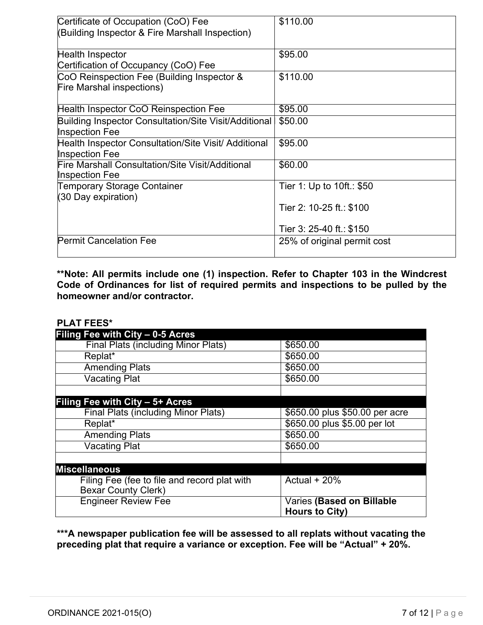| Certificate of Occupation (CoO) Fee                                            | \$110.00                    |
|--------------------------------------------------------------------------------|-----------------------------|
| (Building Inspector & Fire Marshall Inspection)                                |                             |
| <b>Health Inspector</b>                                                        | \$95.00                     |
| Certification of Occupancy (CoO) Fee                                           |                             |
| CoO Reinspection Fee (Building Inspector &<br><b>Fire Marshal inspections)</b> | \$110.00                    |
| Health Inspector CoO Reinspection Fee                                          | \$95.00                     |
| Building Inspector Consultation/Site Visit/Additional<br><b>Inspection Fee</b> | \$50.00                     |
| Health Inspector Consultation/Site Visit/ Additional<br><b>Inspection Fee</b>  | \$95.00                     |
| Fire Marshall Consultation/Site Visit/Additional<br><b>Inspection Fee</b>      | \$60.00                     |
| Temporary Storage Container<br>(30 Day expiration)                             | Tier 1: Up to 10ft.: \$50   |
|                                                                                | Tier 2: 10-25 ft.: \$100    |
|                                                                                | Tier 3: 25-40 ft.: \$150    |
| <b>Permit Cancelation Fee</b>                                                  | 25% of original permit cost |

**\*\*Note: All permits include one (1) inspection. Refer to Chapter 103 in the Windcrest Code of Ordinances for list of required permits and inspections to be pulled by the homeowner and/or contractor.**

#### **PLAT FEES\***

| Filing Fee with City - 0-5 Acres             |                                                    |
|----------------------------------------------|----------------------------------------------------|
| <b>Final Plats (including Minor Plats)</b>   | \$650.00                                           |
| Replat*                                      | \$650.00                                           |
| <b>Amending Plats</b>                        | \$650.00                                           |
| <b>Vacating Plat</b>                         | \$650.00                                           |
|                                              |                                                    |
| Filing Fee with City – 5+ Acres              |                                                    |
| <b>Final Plats (including Minor Plats)</b>   | \$650.00 plus \$50.00 per acre                     |
| Replat*                                      | \$650.00 plus \$5.00 per lot                       |
| <b>Amending Plats</b>                        | \$650.00                                           |
| <b>Vacating Plat</b>                         | \$650.00                                           |
|                                              |                                                    |
| <b>Miscellaneous</b>                         |                                                    |
| Filing Fee (fee to file and record plat with | Actual $+20%$                                      |
| <b>Bexar County Clerk)</b>                   |                                                    |
| <b>Engineer Review Fee</b>                   | Varies (Based on Billable<br><b>Hours to City)</b> |

**\*\*\*A newspaper publication fee will be assessed to all replats without vacating the preceding plat that require a variance or exception. Fee will be "Actual" + 20%.**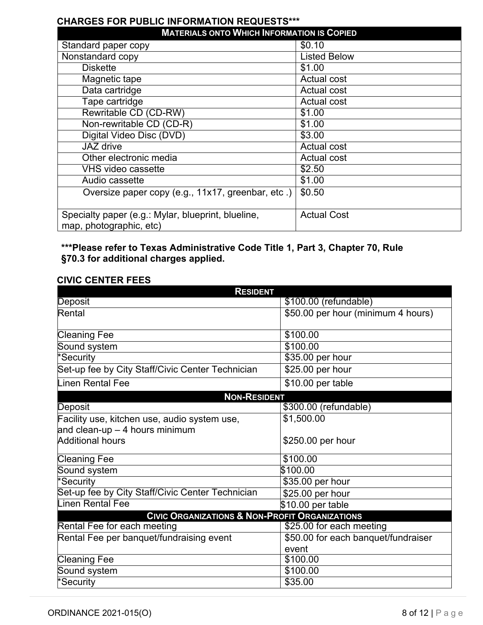## **CHARGES FOR PUBLIC INFORMATION REQUESTS\*\*\***

| <b>MATERIALS ONTO WHICH INFORMATION IS COPIED</b>                             |                     |  |
|-------------------------------------------------------------------------------|---------------------|--|
| Standard paper copy                                                           | \$0.10              |  |
| Nonstandard copy                                                              | <b>Listed Below</b> |  |
| <b>Diskette</b>                                                               | \$1.00              |  |
| Magnetic tape                                                                 | <b>Actual cost</b>  |  |
| Data cartridge                                                                | Actual cost         |  |
| Tape cartridge                                                                | <b>Actual cost</b>  |  |
| Rewritable CD (CD-RW)                                                         | \$1.00              |  |
| Non-rewritable CD (CD-R)                                                      | \$1.00              |  |
| Digital Video Disc (DVD)                                                      | \$3.00              |  |
| JAZ drive                                                                     | <b>Actual cost</b>  |  |
| Other electronic media                                                        | <b>Actual cost</b>  |  |
| <b>VHS video cassette</b>                                                     | \$2.50              |  |
| Audio cassette                                                                | \$1.00              |  |
| Oversize paper copy (e.g., 11x17, greenbar, etc.)                             | \$0.50              |  |
| Specialty paper (e.g.: Mylar, blueprint, blueline,<br>map, photographic, etc) | <b>Actual Cost</b>  |  |

# **\*\*\*Please refer to Texas Administrative Code Title 1, Part 3, Chapter 70, Rule §70.3 for additional charges applied.**

#### **CIVIC CENTER FEES**

| <b>RESIDENT</b>                                           |                                     |  |
|-----------------------------------------------------------|-------------------------------------|--|
| Deposit                                                   | \$100.00 (refundable)               |  |
| Rental                                                    | \$50.00 per hour (minimum 4 hours)  |  |
| <b>Cleaning Fee</b>                                       | \$100.00                            |  |
| Sound system                                              | \$100.00                            |  |
| *Security                                                 | \$35.00 per hour                    |  |
| Set-up fee by City Staff/Civic Center Technician          | $$25.00$ per hour                   |  |
| Linen Rental Fee                                          | \$10.00 per table                   |  |
| <b>NON-RESIDENT</b>                                       |                                     |  |
| Deposit                                                   | \$300.00 (refundable)               |  |
| Facility use, kitchen use, audio system use,              | \$1,500.00                          |  |
| and clean-up - 4 hours minimum                            |                                     |  |
| <b>Additional hours</b>                                   | \$250.00 per hour                   |  |
| <b>Cleaning Fee</b>                                       | \$100.00                            |  |
| Sound system                                              | \$100.00                            |  |
| *Security                                                 | \$35.00 per hour                    |  |
| Set-up fee by City Staff/Civic Center Technician          | \$25.00 per hour                    |  |
| Linen Rental Fee                                          | \$10.00 per table                   |  |
| <b>CIVIC ORGANIZATIONS &amp; NON-PROFIT ORGANIZATIONS</b> |                                     |  |
| Rental Fee for each meeting                               | \$25.00 for each meeting            |  |
| Rental Fee per banquet/fundraising event                  | \$50.00 for each banquet/fundraiser |  |
|                                                           | event                               |  |
| <b>Cleaning Fee</b>                                       | \$100.00                            |  |
| Sound system                                              | \$100.00                            |  |
| *Security                                                 | \$35.00                             |  |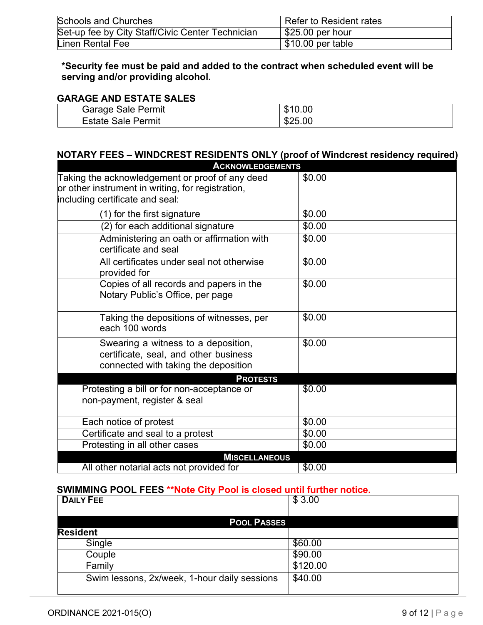| <b>Schools and Churches</b>                      | Refer to Resident rates |
|--------------------------------------------------|-------------------------|
| Set-up fee by City Staff/Civic Center Technician | $$25.00$ per hour       |
| Linen Rental Fee                                 | \$10.00 per table       |

**\*Security fee must be paid and added to the contract when scheduled event will be serving and/or providing alcohol.**

#### **GARAGE AND ESTATE SALES**

| <b>Garage Sale Permit</b>     | 0.00<br>ง |
|-------------------------------|-----------|
| <b>Estate Sale</b><br>⊩Permit | \$25.00   |

# **NOTARY FEES – WINDCREST RESIDENTS ONLY (proof of Windcrest residency required)**

| <b>ACKNOWLEDGEMENTS</b>                                                                                              |        |
|----------------------------------------------------------------------------------------------------------------------|--------|
| Taking the acknowledgement or proof of any deed                                                                      | \$0.00 |
| or other instrument in writing, for registration,                                                                    |        |
| including certificate and seal:                                                                                      |        |
| $\overline{(1)}$ for the first signature                                                                             | \$0.00 |
| (2) for each additional signature                                                                                    | \$0.00 |
| Administering an oath or affirmation with<br>certificate and seal                                                    | \$0.00 |
| All certificates under seal not otherwise<br>provided for                                                            | \$0.00 |
| Copies of all records and papers in the<br>Notary Public's Office, per page                                          | \$0.00 |
| Taking the depositions of witnesses, per<br>each 100 words                                                           | \$0.00 |
| Swearing a witness to a deposition,<br>certificate, seal, and other business<br>connected with taking the deposition | \$0.00 |
| <b>PROTESTS</b>                                                                                                      |        |
| Protesting a bill or for non-acceptance or                                                                           | \$0.00 |
| non-payment, register & seal                                                                                         |        |
| Each notice of protest                                                                                               | \$0.00 |
| Certificate and seal to a protest                                                                                    | \$0.00 |
| Protesting in all other cases                                                                                        | \$0.00 |
| <b>MISCELLANEOUS</b>                                                                                                 |        |
| All other notarial acts not provided for                                                                             | \$0.00 |

#### **SWIMMING POOL FEES \*\*Note City Pool is closed until further notice.**

| <b>DAILY FEE</b>                             | \$3.00   |
|----------------------------------------------|----------|
|                                              |          |
| <b>POOL PASSES</b>                           |          |
| <b>Resident</b>                              |          |
| Single                                       | \$60.00  |
| Couple                                       | \$90.00  |
| Family                                       | \$120.00 |
| Swim lessons, 2x/week, 1-hour daily sessions | \$40.00  |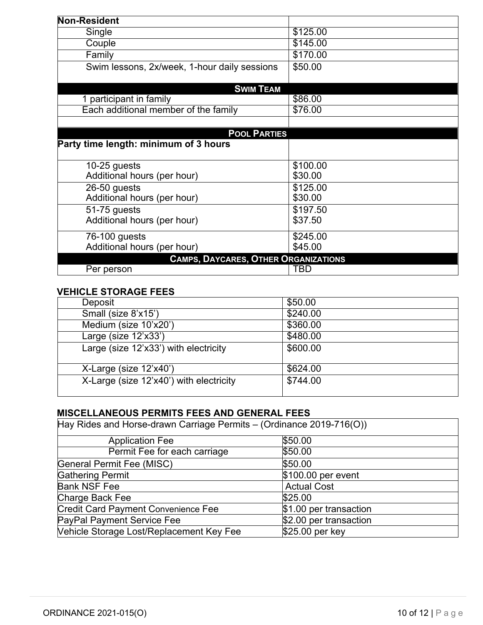| Non-Resident                                 |                      |
|----------------------------------------------|----------------------|
| Single                                       | \$125.00             |
| Couple                                       | $\overline{$}145.00$ |
| Family                                       | \$170.00             |
| Swim lessons, 2x/week, 1-hour daily sessions | \$50.00              |
| <b>SWIM TEAM</b>                             |                      |
| 1 participant in family                      | \$86.00              |
| Each additional member of the family         | \$76.00              |
|                                              |                      |
| <b>POOL PARTIES</b>                          |                      |
| Party time length: minimum of 3 hours        |                      |
|                                              |                      |
| 10-25 guests<br>Additional hours (per hour)  | \$100.00<br>\$30.00  |
| 26-50 guests                                 | \$125.00             |
| Additional hours (per hour)                  | \$30.00              |
| 51-75 guests                                 | \$197.50             |
| Additional hours (per hour)                  | \$37.50              |
|                                              |                      |
| 76-100 guests                                | \$245.00             |
| Additional hours (per hour)                  | \$45.00              |
| <b>CAMPS, DAYCARES, OTHER ORGANIZATIONS</b>  |                      |
| Per person                                   | TBD                  |

## **VEHICLE STORAGE FEES**

| Deposit                                 | \$50.00  |
|-----------------------------------------|----------|
| Small (size 8'x15')                     | \$240.00 |
| Medium (size 10'x20')                   | \$360.00 |
| Large (size 12'x33')                    | \$480.00 |
| Large (size 12'x33') with electricity   | \$600.00 |
| X-Large (size 12'x40')                  | \$624.00 |
| X-Large (size 12'x40') with electricity | \$744.00 |

# **MISCELLANEOUS PERMITS FEES AND GENERAL FEES**

| Hay Rides and Horse-drawn Carriage Permits - (Ordinance 2019-716(O)) |                        |  |
|----------------------------------------------------------------------|------------------------|--|
| <b>Application Fee</b>                                               | \$50.00                |  |
| Permit Fee for each carriage                                         | \$50.00                |  |
| General Permit Fee (MISC)                                            | \$50.00                |  |
| <b>Gathering Permit</b>                                              | \$100.00 per event     |  |
| <b>Bank NSF Fee</b>                                                  | <b>Actual Cost</b>     |  |
| Charge Back Fee                                                      | \$25.00                |  |
| <b>Credit Card Payment Convenience Fee</b>                           | \$1.00 per transaction |  |
| PayPal Payment Service Fee                                           | \$2.00 per transaction |  |
| Vehicle Storage Lost/Replacement Key Fee                             | \$25.00 per key        |  |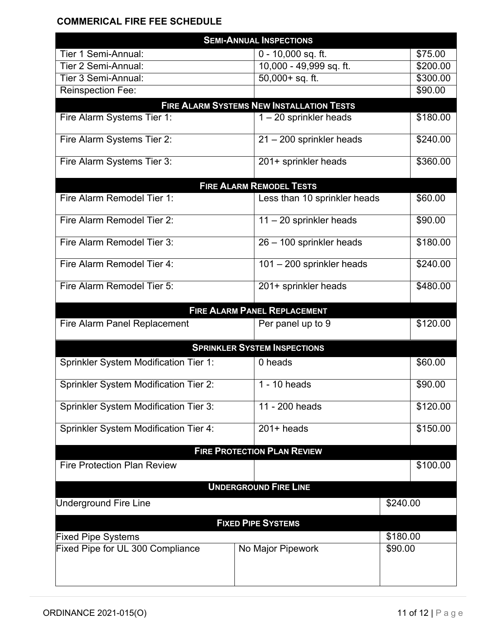## **COMMERICAL FIRE FEE SCHEDULE**

| <b>SEMI-ANNUAL INSPECTIONS</b>               |                                                  |          |          |
|----------------------------------------------|--------------------------------------------------|----------|----------|
| Tier 1 Semi-Annual:                          | $0 - 10,000$ sq. ft.                             |          | \$75.00  |
| Tier 2 Semi-Annual:                          | $\overline{10}$ ,000 - 49,999 sq. ft.            |          | \$200.00 |
| Tier 3 Semi-Annual:                          | 50,000+ sq. ft.                                  |          | \$300.00 |
| <b>Reinspection Fee:</b>                     |                                                  |          | \$90.00  |
|                                              | <b>FIRE ALARM SYSTEMS NEW INSTALLATION TESTS</b> |          |          |
| Fire Alarm Systems Tier 1:                   | $1 - 20$ sprinkler heads                         |          | \$180.00 |
| Fire Alarm Systems Tier 2:                   | 21 - 200 sprinkler heads                         |          | \$240.00 |
| Fire Alarm Systems Tier 3:                   | 201+ sprinkler heads                             |          | \$360.00 |
|                                              | <b>FIRE ALARM REMODEL TESTS</b>                  |          |          |
| Fire Alarm Remodel Tier 1:                   | Less than 10 sprinkler heads                     |          | \$60.00  |
| Fire Alarm Remodel Tier 2:                   | $11 - 20$ sprinkler heads                        |          | \$90.00  |
| Fire Alarm Remodel Tier 3:                   | 26 - 100 sprinkler heads                         |          | \$180.00 |
| Fire Alarm Remodel Tier 4:                   | 101 - 200 sprinkler heads                        |          | \$240.00 |
| Fire Alarm Remodel Tier 5:                   | 201+ sprinkler heads                             |          | \$480.00 |
|                                              | <b>FIRE ALARM PANEL REPLACEMENT</b>              |          |          |
| Fire Alarm Panel Replacement                 | Per panel up to 9                                |          | \$120.00 |
| <b>SPRINKLER SYSTEM INSPECTIONS</b>          |                                                  |          |          |
| Sprinkler System Modification Tier 1:        | 0 heads                                          |          | \$60.00  |
| <b>Sprinkler System Modification Tier 2:</b> | 1 - 10 heads                                     |          | \$90.00  |
| <b>Sprinkler System Modification Tier 3:</b> | 11 - 200 heads                                   |          | \$120.00 |
| <b>Sprinkler System Modification Tier 4:</b> | $201+$ heads                                     |          | \$150.00 |
|                                              | <b>FIRE PROTECTION PLAN REVIEW</b>               |          |          |
| <b>Fire Protection Plan Review</b>           |                                                  |          | \$100.00 |
|                                              | <b>UNDERGROUND FIRE LINE</b>                     |          |          |
| \$240.00<br><b>Underground Fire Line</b>     |                                                  |          |          |
|                                              |                                                  |          |          |
| <b>FIXED PIPE SYSTEMS</b>                    |                                                  |          |          |
| <b>Fixed Pipe Systems</b>                    |                                                  | \$180.00 |          |
| Fixed Pipe for UL 300 Compliance             | No Major Pipework                                | \$90.00  |          |